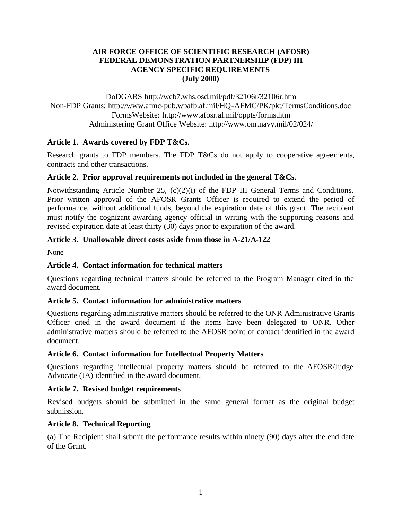#### **AIR FORCE OFFICE OF SCIENTIFIC RESEARCH (AFOSR) FEDERAL DEMONSTRATION PARTNERSHIP (FDP) III AGENCY SPECIFIC REQUIREMENTS (July 2000)**

DoDGARS http://web7.whs.osd.mil/pdf/32106r/32106r.htm Non-FDP Grants: http://www.afmc-pub.wpafb.af.mil/HQ-AFMC/PK/pkt/TermsConditions.doc FormsWebsite: http://www.afosr.af.mil/oppts/forms.htm Administering Grant Office Website: http://www.onr.navy.mil/02/024/

### **Article 1. Awards covered by FDP T&Cs.**

Research grants to FDP members. The FDP T&Cs do not apply to cooperative agreements, contracts and other transactions.

### **Article 2. Prior approval requirements not included in the general T&Cs.**

Notwithstanding Article Number 25, (c)(2)(i) of the FDP III General Terms and Conditions. Prior written approval of the AFOSR Grants Officer is required to extend the period of performance, without additional funds, beyond the expiration date of this grant. The recipient must notify the cognizant awarding agency official in writing with the supporting reasons and revised expiration date at least thirty (30) days prior to expiration of the award.

## **Article 3. Unallowable direct costs aside from those in A-21/A-122**

None

# **Article 4. Contact information for technical matters**

Questions regarding technical matters should be referred to the Program Manager cited in the award document.

### **Article 5. Contact information for administrative matters**

Questions regarding administrative matters should be referred to the ONR Administrative Grants Officer cited in the award document if the items have been delegated to ONR. Other administrative matters should be referred to the AFOSR point of contact identified in the award document.

### **Article 6. Contact information for Intellectual Property Matters**

Questions regarding intellectual property matters should be referred to the AFOSR/Judge Advocate (JA) identified in the award document.

### **Article 7. Revised budget requirements**

Revised budgets should be submitted in the same general format as the original budget submission.

### **Article 8. Technical Reporting**

(a) The Recipient shall submit the performance results within ninety (90) days after the end date of the Grant.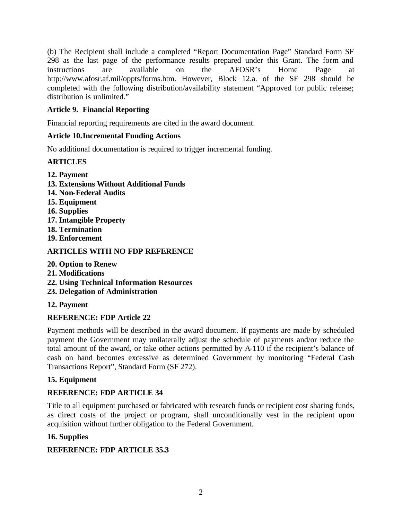(b) The Recipient shall include a completed "Report Documentation Page" Standard Form SF 298 as the last page of the performance results prepared under this Grant. The form and instructions are available on the AFOSR's Home Page at http://www.afosr.af.mil/oppts/forms.htm. However, Block 12.a. of the SF 298 should be completed with the following distribution/availability statement "Approved for public release; distribution is unlimited."

## **Article 9. Financial Reporting**

Financial reporting requirements are cited in the award document.

### **Article 10.Incremental Funding Actions**

No additional documentation is required to trigger incremental funding.

## **ARTICLES**

- **12. Payment**
- **13. Extensions Without Additional Funds**
- **14. Non-Federal Audits**
- **15. Equipment**
- **16. Supplies**
- **17. Intangible Property**
- **18. Termination**
- **19. Enforcement**

# **ARTICLES WITH NO FDP REFERENCE**

- **20. Option to Renew**
- **21. Modifications**
- **22. Using Technical Information Resources**
- **23. Delegation of Administration**
- **12. Payment**

# **REFERENCE: FDP Article 22**

Payment methods will be described in the award document. If payments are made by scheduled payment the Government may unilaterally adjust the schedule of payments and/or reduce the total amount of the award, or take other actions permitted by A-110 if the recipient's balance of cash on hand becomes excessive as determined Government by monitoring "Federal Cash Transactions Report", Standard Form (SF 272).

# **15. Equipment**

# **REFERENCE: FDP ARTICLE 34**

Title to all equipment purchased or fabricated with research funds or recipient cost sharing funds, as direct costs of the project or program, shall unconditionally vest in the recipient upon acquisition without further obligation to the Federal Government.

# **16. Supplies**

# **REFERENCE: FDP ARTICLE 35.3**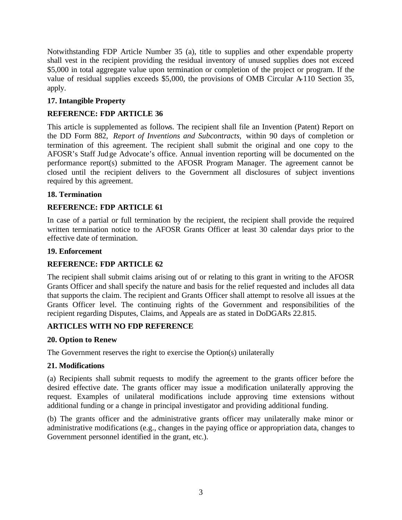Notwithstanding FDP Article Number 35 (a), title to supplies and other expendable property shall vest in the recipient providing the residual inventory of unused supplies does not exceed \$5,000 in total aggregate value upon termination or completion of the project or program. If the value of residual supplies exceeds \$5,000, the provisions of OMB Circular A<sup>110</sup> Section 35, apply.

### **17. Intangible Property**

## **REFERENCE: FDP ARTICLE 36**

This article is supplemented as follows. The recipient shall file an Invention (Patent) Report on the DD Form 882, *Report of Inventions and Subcontracts,* within 90 days of completion or termination of this agreement. The recipient shall submit the original and one copy to the AFOSR's Staff Judge Advocate's office. Annual invention reporting will be documented on the performance report(s) submitted to the AFOSR Program Manager. The agreement cannot be closed until the recipient delivers to the Government all disclosures of subject inventions required by this agreement.

#### **18. Termination**

### **REFERENCE: FDP ARTICLE 61**

In case of a partial or full termination by the recipient, the recipient shall provide the required written termination notice to the AFOSR Grants Officer at least 30 calendar days prior to the effective date of termination.

#### **19. Enforcement**

### **REFERENCE: FDP ARTICLE 62**

The recipient shall submit claims arising out of or relating to this grant in writing to the AFOSR Grants Officer and shall specify the nature and basis for the relief requested and includes all data that supports the claim. The recipient and Grants Officer shall attempt to resolve all issues at the Grants Officer level. The continuing rights of the Government and responsibilities of the recipient regarding Disputes, Claims, and Appeals are as stated in DoDGARs 22.815.

### **ARTICLES WITH NO FDP REFERENCE**

### **20. Option to Renew**

The Government reserves the right to exercise the Option(s) unilaterally

#### **21. Modifications**

(a) Recipients shall submit requests to modify the agreement to the grants officer before the desired effective date. The grants officer may issue a modification unilaterally approving the request. Examples of unilateral modifications include approving time extensions without additional funding or a change in principal investigator and providing additional funding.

(b) The grants officer and the administrative grants officer may unilaterally make minor or administrative modifications (e.g., changes in the paying office or appropriation data, changes to Government personnel identified in the grant, etc.).